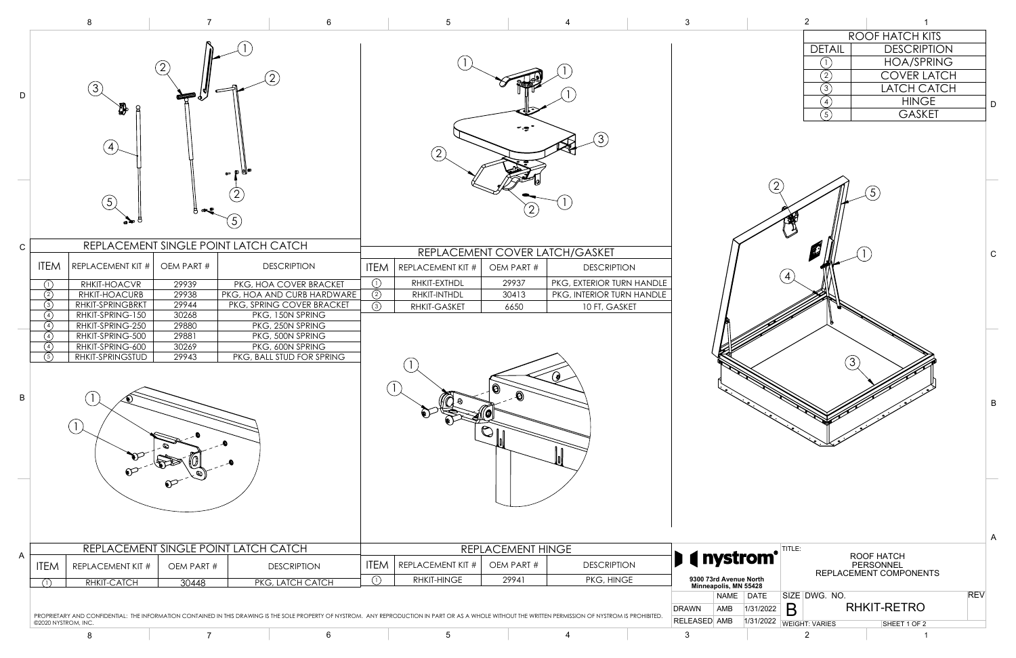

|                 |                                                                     | 8                                                                                                                                                                          |                                                                                    | 6                                                                                                                                                                                                                    |                                                       | $5\phantom{.0}$                                                                      |                                      | 4                                                                                                         | $\mathbf{3}$             |                                                 |                                 |                                                                |                                                 |                                                                                                      |
|-----------------|---------------------------------------------------------------------|----------------------------------------------------------------------------------------------------------------------------------------------------------------------------|------------------------------------------------------------------------------------|----------------------------------------------------------------------------------------------------------------------------------------------------------------------------------------------------------------------|-------------------------------------------------------|--------------------------------------------------------------------------------------|--------------------------------------|-----------------------------------------------------------------------------------------------------------|--------------------------|-------------------------------------------------|---------------------------------|----------------------------------------------------------------|-------------------------------------------------|------------------------------------------------------------------------------------------------------|
| D               |                                                                     | (3)<br>$\mathbf{A}$<br>(5)                                                                                                                                                 |                                                                                    | eΨ<br>5 <sub>l</sub>                                                                                                                                                                                                 |                                                       | (2)                                                                                  | $\left( 2\right)$                    | (3)                                                                                                       |                          |                                                 |                                 | <b>DETAIL</b><br>(2)<br>$\circled{3}$<br>$\binom{4}{ }$<br>(5) | 5                                               | ROOF HATCH K<br><b>DESCRIP</b><br><b>HOA/SPI</b><br><b>COVER L</b><br>LATCH C<br><b>HING</b><br>GASK |
| $\mathbf C$     |                                                                     |                                                                                                                                                                            |                                                                                    | REPLACEMENT SINGLE POINT LATCH CATCH                                                                                                                                                                                 |                                                       |                                                                                      |                                      | REPLACEMENT COVER LATCH/GASKET                                                                            |                          |                                                 |                                 |                                                                |                                                 |                                                                                                      |
| $\, {\bf B} \,$ | <b>ITEM</b><br>(1)<br>(2)<br>(3)<br>(4)<br>(4)<br>(4)<br>(4)<br>(5) | REPLACEMENT KIT #<br>RHKIT-HOACVR<br>RHKIT-HOACURB<br>RHKIT-SPRINGBRKT<br>RHKIT-SPRING-150<br>RHKIT-SPRING-250<br>RHKIT-SPRING-500<br>RHKIT-SPRING-600<br>RHKIT-SPRINGSTUD | OEM PART #<br>29939<br>29938<br>29944<br>30268<br>29880<br>29881<br>30269<br>29943 | <b>DESCRIPTION</b><br>PKG, HOA COVER BRACKET<br>PKG, HOA AND CURB HARDWARE<br>PKG, SPRING COVER BRACKET<br>PKG, 150N SPRING<br>PKG, 250N SPRING<br>PKG, 500N SPRING<br>PKG, 600N SPRING<br>PKG, BALL STUD FOR SPRING | $\odot$<br>$\overline{\circledcirc}$<br>$\circled{3}$ | <b>ITEM</b> REPLACEMENT KIT #<br>RHKIT-EXTHDL<br><b>RHKIT-INTHDL</b><br>RHKIT-GASKET | OEM PART #<br>29937<br>30413<br>6650 | <b>DESCRIPTION</b><br>PKG, EXTERIOR TURN HANDLE<br>PKG, INTERIOR TURN HANDLE<br>10 FT, GASKET<br>$\theta$ |                          |                                                 |                                 |                                                                | (3)                                             |                                                                                                      |
|                 |                                                                     |                                                                                                                                                                            |                                                                                    | REPLACEMENT SINGLE POINT LATCH CATCH                                                                                                                                                                                 |                                                       |                                                                                      | REPLACEMENT HINGE                    |                                                                                                           |                          |                                                 |                                 | TITLE:                                                         |                                                 |                                                                                                      |
| A               | <b>ITEM</b>                                                         | REPLACEMENT KIT #<br>RHKIT-CATCH                                                                                                                                           | OEM PART #<br>30448                                                                | <b>DESCRIPTION</b><br>PKG, LATCH CATCH                                                                                                                                                                               | <b>ITEM</b><br>(1)                                    | <b>REPLACEMENT KIT #</b><br><b>RHKIT-HINGE</b>                                       | OEM PART #<br>29941                  | <b>DESCRIPTION</b><br>PKG, HINGE                                                                          |                          | 9300 73rd Avenue North<br>Minneapolis, MN 55428 | <b>I</b> ( nystrom <sup>®</sup> |                                                                | ROOF HATCH<br>PERSONNEL<br>REPLACEMENT COMPONEN |                                                                                                      |
|                 |                                                                     |                                                                                                                                                                            |                                                                                    | PROPRIETARY AND CONFIDENTIAL: THE INFORMATION CONTAINED IN THIS DRAWING IS THE SOLE PROPERTY OF NYSTROM. ANY REPRODUCTION IN PART OR AS A WHOLE WITHOUT THE WRITTEN PERMISSION OF NYSTROM IS PROHIBITED.             |                                                       |                                                                                      |                                      |                                                                                                           | <b>DRAWN</b>             | AMB                                             | NAME DATE<br>1/31/2022          | SIZE DWG. NO.<br>B                                             |                                                 | <b>RHKIT-RETRO</b>                                                                                   |
|                 | ©2020 NYSTROM, INC.                                                 | 8                                                                                                                                                                          |                                                                                    | 6                                                                                                                                                                                                                    |                                                       | $5\phantom{.0}$                                                                      |                                      | $\overline{\mathbf{4}}$                                                                                   | <b>RELEASED AMB</b><br>3 |                                                 |                                 | 1/31/2022 WEIGHT: VARIES<br>2                                  |                                                 | SHEET 1 OF 2                                                                                         |

| ROOF HATCH KITS |  |                    |  |  |  |  |  |
|-----------------|--|--------------------|--|--|--|--|--|
| <b>DETAIL</b>   |  | <b>DESCRIPTION</b> |  |  |  |  |  |
|                 |  | <b>HOA/SPRING</b>  |  |  |  |  |  |
|                 |  | <b>COVER LATCH</b> |  |  |  |  |  |
|                 |  | <b>LATCH CATCH</b> |  |  |  |  |  |
|                 |  | <b>HINGE</b>       |  |  |  |  |  |
|                 |  | <b>GASKET</b>      |  |  |  |  |  |
|                 |  |                    |  |  |  |  |  |



B

C